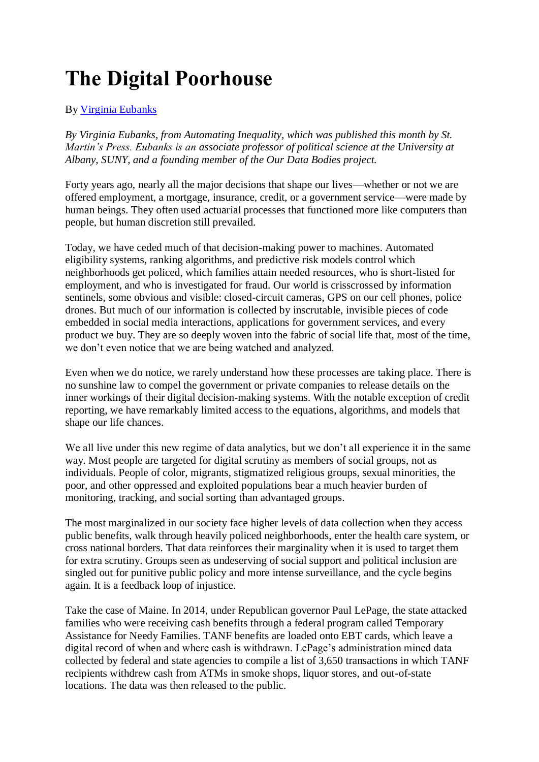## **The Digital Poorhouse**

## By [Virginia Eubanks](https://harpers.org/author/virginiaeubanks/)

*By Virginia Eubanks, from Automating Inequality, which was published this month by St. Martin's Press. Eubanks is an associate professor of political science at the University at Albany, SUNY, and a founding member of the Our Data Bodies project.*

Forty years ago, nearly all the major decisions that shape our lives—whether or not we are offered employment, a mortgage, insurance, credit, or a government service—were made by human beings. They often used actuarial processes that functioned more like computers than people, but human discretion still prevailed.

Today, we have ceded much of that decision-making power to machines. Automated eligibility systems, ranking algorithms, and predictive risk models control which neighborhoods get policed, which families attain needed resources, who is short-listed for employment, and who is investigated for fraud. Our world is crisscrossed by information sentinels, some obvious and visible: closed-circuit cameras, GPS on our cell phones, police drones. But much of our information is collected by inscrutable, invisible pieces of code embedded in social media interactions, applications for government services, and every product we buy. They are so deeply woven into the fabric of social life that, most of the time, we don't even notice that we are being watched and analyzed.

Even when we do notice, we rarely understand how these processes are taking place. There is no sunshine law to compel the government or private companies to release details on the inner workings of their digital decision-making systems. With the notable exception of credit reporting, we have remarkably limited access to the equations, algorithms, and models that shape our life chances.

We all live under this new regime of data analytics, but we don't all experience it in the same way. Most people are targeted for digital scrutiny as members of social groups, not as individuals. People of color, migrants, stigmatized religious groups, sexual minorities, the poor, and other oppressed and exploited populations bear a much heavier burden of monitoring, tracking, and social sorting than advantaged groups.

The most marginalized in our society face higher levels of data collection when they access public benefits, walk through heavily policed neighborhoods, enter the health care system, or cross national borders. That data reinforces their marginality when it is used to target them for extra scrutiny. Groups seen as undeserving of social support and political inclusion are singled out for punitive public policy and more intense surveillance, and the cycle begins again. It is a feedback loop of injustice.

Take the case of Maine. In 2014, under Republican governor Paul LePage, the state attacked families who were receiving cash benefits through a federal program called Temporary Assistance for Needy Families. TANF benefits are loaded onto EBT cards, which leave a digital record of when and where cash is withdrawn. LePage's administration mined data collected by federal and state agencies to compile a list of 3,650 transactions in which TANF recipients withdrew cash from ATMs in smoke shops, liquor stores, and out-of-state locations. The data was then released to the public.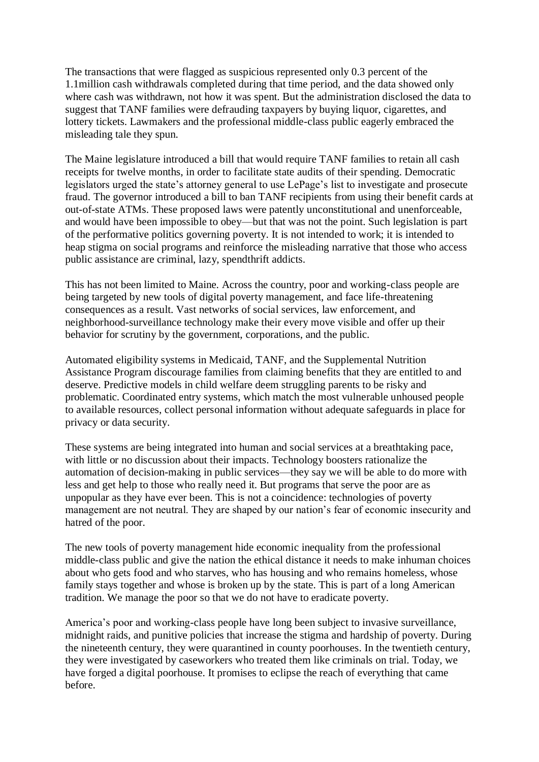The transactions that were flagged as suspicious represented only 0.3 percent of the 1.1million cash withdrawals completed during that time period, and the data showed only where cash was withdrawn, not how it was spent. But the administration disclosed the data to suggest that TANF families were defrauding taxpayers by buying liquor, cigarettes, and lottery tickets. Lawmakers and the professional middle-class public eagerly embraced the misleading tale they spun.

The Maine legislature introduced a bill that would require TANF families to retain all cash receipts for twelve months, in order to facilitate state audits of their spending. Democratic legislators urged the state's attorney general to use LePage's list to investigate and prosecute fraud. The governor introduced a bill to ban TANF recipients from using their benefit cards at out-of-state ATMs. These proposed laws were patently unconstitutional and unenforceable, and would have been impossible to obey—but that was not the point. Such legislation is part of the performative politics governing poverty. It is not intended to work; it is intended to heap stigma on social programs and reinforce the misleading narrative that those who access public assistance are criminal, lazy, spendthrift addicts.

This has not been limited to Maine. Across the country, poor and working-class people are being targeted by new tools of digital poverty management, and face life-threatening consequences as a result. Vast networks of social services, law enforcement, and neighborhood-surveillance technology make their every move visible and offer up their behavior for scrutiny by the government, corporations, and the public.

Automated eligibility systems in Medicaid, TANF, and the Supplemental Nutrition Assistance Program discourage families from claiming benefits that they are entitled to and deserve. Predictive models in child welfare deem struggling parents to be risky and problematic. Coordinated entry systems, which match the most vulnerable unhoused people to available resources, collect personal information without adequate safeguards in place for privacy or data security.

These systems are being integrated into human and social services at a breathtaking pace, with little or no discussion about their impacts. Technology boosters rationalize the automation of decision-making in public services—they say we will be able to do more with less and get help to those who really need it. But programs that serve the poor are as unpopular as they have ever been. This is not a coincidence: technologies of poverty management are not neutral. They are shaped by our nation's fear of economic insecurity and hatred of the poor.

The new tools of poverty management hide economic inequality from the professional middle-class public and give the nation the ethical distance it needs to make inhuman choices about who gets food and who starves, who has housing and who remains homeless, whose family stays together and whose is broken up by the state. This is part of a long American tradition. We manage the poor so that we do not have to eradicate poverty.

America's poor and working-class people have long been subject to invasive surveillance, midnight raids, and punitive policies that increase the stigma and hardship of poverty. During the nineteenth century, they were quarantined in county poorhouses. In the twentieth century, they were investigated by caseworkers who treated them like criminals on trial. Today, we have forged a digital poorhouse. It promises to eclipse the reach of everything that came before.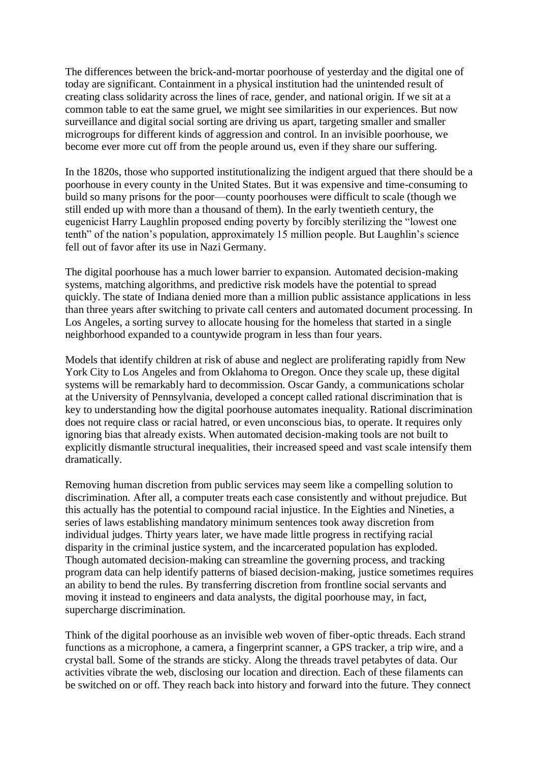The differences between the brick-and-mortar poorhouse of yesterday and the digital one of today are significant. Containment in a physical institution had the unintended result of creating class solidarity across the lines of race, gender, and national origin. If we sit at a common table to eat the same gruel, we might see similarities in our experiences. But now surveillance and digital social sorting are driving us apart, targeting smaller and smaller microgroups for different kinds of aggression and control. In an invisible poorhouse, we become ever more cut off from the people around us, even if they share our suffering.

In the 1820s, those who supported institutionalizing the indigent argued that there should be a poorhouse in every county in the United States. But it was expensive and time-consuming to build so many prisons for the poor—county poorhouses were difficult to scale (though we still ended up with more than a thousand of them). In the early twentieth century, the eugenicist Harry Laughlin proposed ending poverty by forcibly sterilizing the "lowest one tenth" of the nation's population, approximately 15 million people. But Laughlin's science fell out of favor after its use in Nazi Germany.

The digital poorhouse has a much lower barrier to expansion. Automated decision-making systems, matching algorithms, and predictive risk models have the potential to spread quickly. The state of Indiana denied more than a million public assistance applications in less than three years after switching to private call centers and automated document processing. In Los Angeles, a sorting survey to allocate housing for the homeless that started in a single neighborhood expanded to a countywide program in less than four years.

Models that identify children at risk of abuse and neglect are proliferating rapidly from New York City to Los Angeles and from Oklahoma to Oregon. Once they scale up, these digital systems will be remarkably hard to decommission. Oscar Gandy, a communications scholar at the University of Pennsylvania, developed a concept called rational discrimination that is key to understanding how the digital poorhouse automates inequality. Rational discrimination does not require class or racial hatred, or even unconscious bias, to operate. It requires only ignoring bias that already exists. When automated decision-making tools are not built to explicitly dismantle structural inequalities, their increased speed and vast scale intensify them dramatically.

Removing human discretion from public services may seem like a compelling solution to discrimination. After all, a computer treats each case consistently and without prejudice. But this actually has the potential to compound racial injustice. In the Eighties and Nineties, a series of laws establishing mandatory minimum sentences took away discretion from individual judges. Thirty years later, we have made little progress in rectifying racial disparity in the criminal justice system, and the incarcerated population has exploded. Though automated decision-making can streamline the governing process, and tracking program data can help identify patterns of biased decision-making, justice sometimes requires an ability to bend the rules. By transferring discretion from frontline social servants and moving it instead to engineers and data analysts, the digital poorhouse may, in fact, supercharge discrimination.

Think of the digital poorhouse as an invisible web woven of fiber-optic threads. Each strand functions as a microphone, a camera, a fingerprint scanner, a GPS tracker, a trip wire, and a crystal ball. Some of the strands are sticky. Along the threads travel petabytes of data. Our activities vibrate the web, disclosing our location and direction. Each of these filaments can be switched on or off. They reach back into history and forward into the future. They connect